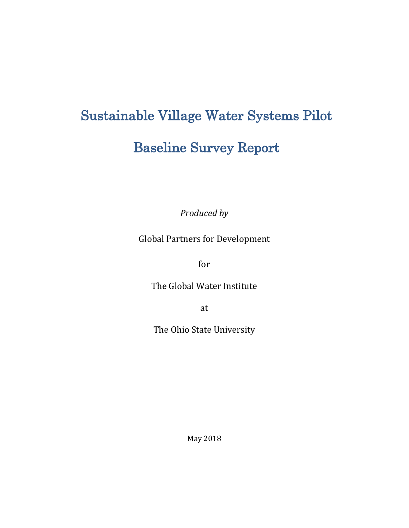# Sustainable Village Water Systems Pilot

# Baseline Survey Report

*Produced by* 

Global Partners for Development

for

The Global Water Institute

at

The Ohio State University

May 2018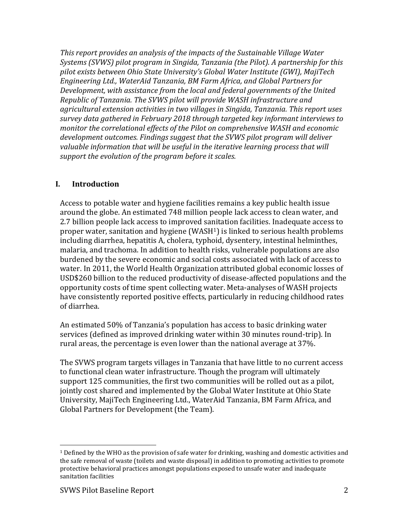*This report provides an analysis of the impacts of the Sustainable Village Water Systems (SVWS) pilot program in Singida, Tanzania (the Pilot). A partnership for this pilot exists between Ohio State University's Global Water Institute (GWI), MajiTech Engineering Ltd., WaterAid Tanzania, BM Farm Africa, and Global Partners for Development, with assistance from the local and federal governments of the United Republic of Tanzania. The SVWS pilot will provide WASH infrastructure and agricultural extension activities in two villages in Singida, Tanzania. This report uses survey data gathered in February 2018 through targeted key informant interviews to monitor the correlational effects of the Pilot on comprehensive WASH and economic development outcomes. Findings suggest that the SVWS pilot program will deliver valuable information that will be useful in the iterative learning process that will support the evolution of the program before it scales.* 

#### **I. Introduction**

Access to potable water and hygiene facilities remains a key public health issue around the globe. An estimated 748 million people lack access to clean water, and 2.7 billion people lack access to improved sanitation facilities. Inadequate access to proper water, sanitation and hygiene (WASH[1](#page-1-0)) is linked to serious health problems including diarrhea, hepatitis A, cholera, typhoid, dysentery, intestinal helminthes, malaria, and trachoma. In addition to health risks, vulnerable populations are also burdened by the severe economic and social costs associated with lack of access to water. In 2011, the World Health Organization attributed global economic losses of USD\$260 billion to the reduced productivity of disease-affected populations and the opportunity costs of time spent collecting water. Meta-analyses of WASH projects have consistently reported positive effects, particularly in reducing childhood rates of diarrhea.

An estimated 50% of Tanzania's population has access to basic drinking water services (defined as improved drinking water within 30 minutes round-trip). In rural areas, the percentage is even lower than the national average at 37%.

The SVWS program targets villages in Tanzania that have little to no current access to functional clean water infrastructure. Though the program will ultimately support 125 communities, the first two communities will be rolled out as a pilot, jointly cost shared and implemented by the Global Water Institute at Ohio State University, MajiTech Engineering Ltd., WaterAid Tanzania, BM Farm Africa, and Global Partners for Development (the Team).

<span id="page-1-0"></span><sup>1</sup> Defined by the WHO as the provision of safe water for drinking, washing and domestic activities and the safe removal of waste (toilets and waste disposal) in addition to promoting activities to promote protective behavioral practices amongst populations exposed to unsafe water and inadequate sanitation facilities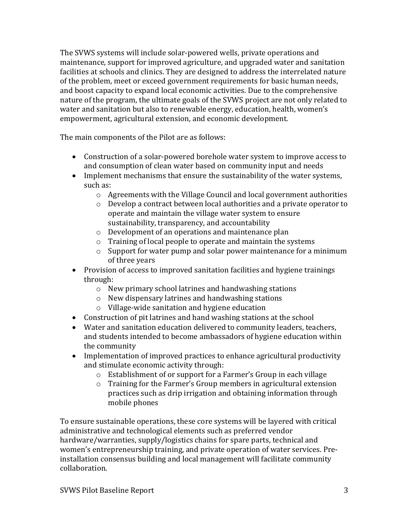The SVWS systems will include solar-powered wells, private operations and maintenance, support for improved agriculture, and upgraded water and sanitation facilities at schools and clinics. They are designed to address the interrelated nature of the problem, meet or exceed government requirements for basic human needs, and boost capacity to expand local economic activities. Due to the comprehensive nature of the program, the ultimate goals of the SVWS project are not only related to water and sanitation but also to renewable energy, education, health, women's empowerment, agricultural extension, and economic development.

The main components of the Pilot are as follows:

- Construction of a solar-powered borehole water system to improve access to and consumption of clean water based on community input and needs
- Implement mechanisms that ensure the sustainability of the water systems, such as:
	- o Agreements with the Village Council and local government authorities
	- o Develop a contract between local authorities and a private operator to operate and maintain the village water system to ensure sustainability, transparency, and accountability
	- o Development of an operations and maintenance plan
	- o Training of local people to operate and maintain the systems
	- o Support for water pump and solar power maintenance for a minimum of three years
- Provision of access to improved sanitation facilities and hygiene trainings through:
	- o New primary school latrines and handwashing stations
	- o New dispensary latrines and handwashing stations
	- o Village-wide sanitation and hygiene education
- Construction of pit latrines and hand washing stations at the school
- Water and sanitation education delivered to community leaders, teachers, and students intended to become ambassadors of hygiene education within the community
- Implementation of improved practices to enhance agricultural productivity and stimulate economic activity through:
	- o Establishment of or support for a Farmer's Group in each village
	- o Training for the Farmer's Group members in agricultural extension practices such as drip irrigation and obtaining information through mobile phones

To ensure sustainable operations, these core systems will be layered with critical administrative and technological elements such as preferred vendor hardware/warranties, supply/logistics chains for spare parts, technical and women's entrepreneurship training, and private operation of water services. Preinstallation consensus building and local management will facilitate community collaboration.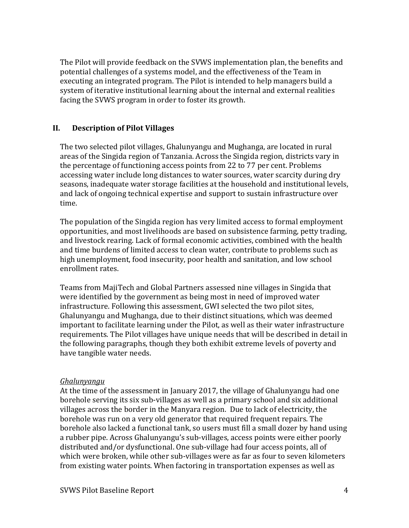The Pilot will provide feedback on the SVWS implementation plan, the benefits and potential challenges of a systems model, and the effectiveness of the Team in executing an integrated program. The Pilot is intended to help managers build a system of iterative institutional learning about the internal and external realities facing the SVWS program in order to foster its growth.

### **II. Description of Pilot Villages**

The two selected pilot villages, Ghalunyangu and Mughanga, are located in rural areas of the Singida region of Tanzania. Across the Singida region, districts vary in the percentage of functioning access points from 22 to 77 per cent. Problems accessing water include long distances to water sources, water scarcity during dry seasons, inadequate water storage facilities at the household and institutional levels, and lack of ongoing technical expertise and support to sustain infrastructure over time.

The population of the Singida region has very limited access to formal employment opportunities, and most livelihoods are based on subsistence farming, petty trading, and livestock rearing. Lack of formal economic activities, combined with the health and time burdens of limited access to clean water, contribute to problems such as high unemployment, food insecurity, poor health and sanitation, and low school enrollment rates.

Teams from MajiTech and Global Partners assessed nine villages in Singida that were identified by the government as being most in need of improved water infrastructure. Following this assessment, GWI selected the two pilot sites, Ghalunyangu and Mughanga, due to their distinct situations, which was deemed important to facilitate learning under the Pilot, as well as their water infrastructure requirements. The Pilot villages have unique needs that will be described in detail in the following paragraphs, though they both exhibit extreme levels of poverty and have tangible water needs.

#### *Ghalunyangu*

At the time of the assessment in January 2017, the village of Ghalunyangu had one borehole serving its six sub-villages as well as a primary school and six additional villages across the border in the Manyara region. Due to lack of electricity, the borehole was run on a very old generator that required frequent repairs. The borehole also lacked a functional tank, so users must fill a small dozer by hand using a rubber pipe. Across Ghalunyangu's sub-villages, access points were either poorly distributed and/or dysfunctional. One sub-village had four access points, all of which were broken, while other sub-villages were as far as four to seven kilometers from existing water points. When factoring in transportation expenses as well as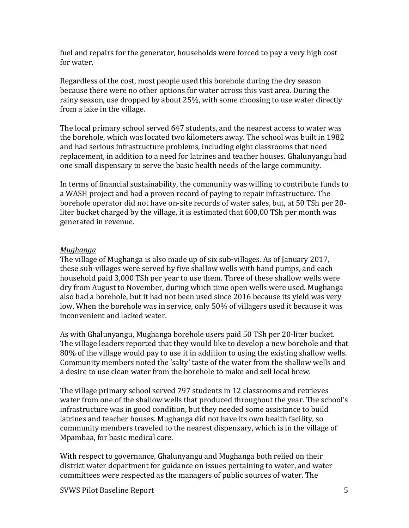fuel and repairs for the generator, households were forced to pay a very high cost for water.

Regardless of the cost, most people used this borehole during the dry season because there were no other options for water across this vast area. During the rainy season, use dropped by about 25%, with some choosing to use water directly from a lake in the village.

The local primary school served 647 students, and the nearest access to water was the borehole, which was located two kilometers away. The school was built in 1982 and had serious infrastructure problems, including eight classrooms that need replacement, in addition to a need for latrines and teacher houses. Ghalunyangu had one small dispensary to serve the basic health needs of the large community.

In terms of financial sustainability, the community was willing to contribute funds to a WASH project and had a proven record of paying to repair infrastructure. The borehole operator did not have on-site records of water sales, but, at 50 TSh per 20 liter bucket charged by the village, it is estimated that 600,00 TSh per month was generated in revenue.

#### *Mughanga*

The village of Mughanga is also made up of six sub-villages. As of January 2017, these sub-villages were served by five shallow wells with hand pumps, and each household paid 3,000 TSh per year to use them. Three of these shallow wells were dry from August to November, during which time open wells were used. Mughanga also had a borehole, but it had not been used since 2016 because its yield was very low. When the borehole was in service, only 50% of villagers used it because it was inconvenient and lacked water.

As with Ghalunyangu, Mughanga borehole users paid 50 TSh per 20-liter bucket. The village leaders reported that they would like to develop a new borehole and that 80% of the village would pay to use it in addition to using the existing shallow wells. Community members noted the 'salty' taste of the water from the shallow wells and a desire to use clean water from the borehole to make and sell local brew.

The village primary school served 797 students in 12 classrooms and retrieves water from one of the shallow wells that produced throughout the year. The school's infrastructure was in good condition, but they needed some assistance to build latrines and teacher houses. Mughanga did not have its own health facility, so community members traveled to the nearest dispensary, which is in the village of Mpambaa, for basic medical care.

With respect to governance, Ghalunyangu and Mughanga both relied on their district water department for guidance on issues pertaining to water, and water committees were respected as the managers of public sources of water. The

SVWS Pilot Baseline Report 5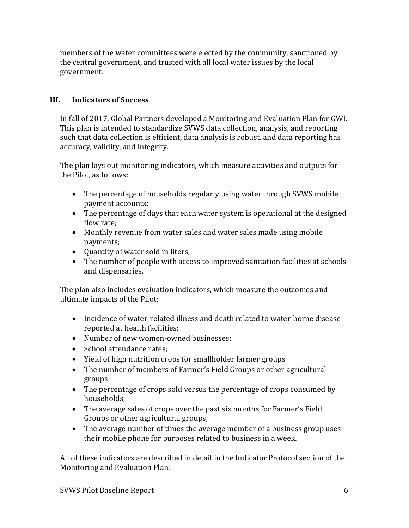members of the water committees were elected by the community, sanctioned by the central government, and trusted with all local water issues by the local government.

## **III. Indicators of Success**

In fall of 2017, Global Partners developed a Monitoring and Evaluation Plan for GWI. This plan is intended to standardize SVWS data collection, analysis, and reporting such that data collection is efficient, data analysis is robust, and data reporting has accuracy, validity, and integrity.

The plan lays out monitoring indicators, which measure activities and outputs for the Pilot, as follows:

- The percentage of households regularly using water through SVWS mobile payment accounts;
- The percentage of days that each water system is operational at the designed flow rate;
- Monthly revenue from water sales and water sales made using mobile payments;
- Quantity of water sold in liters;
- The number of people with access to improved sanitation facilities at schools and dispensaries.

The plan also includes evaluation indicators, which measure the outcomes and ultimate impacts of the Pilot:

- Incidence of water-related illness and death related to water-borne disease reported at health facilities;
- Number of new women-owned businesses;
- School attendance rates;
- Yield of high nutrition crops for smallholder farmer groups
- The number of members of Farmer's Field Groups or other agricultural groups;
- The percentage of crops sold versus the percentage of crops consumed by households;
- The average sales of crops over the past six months for Farmer's Field Groups or other agricultural groups;
- The average number of times the average member of a business group uses their mobile phone for purposes related to business in a week.

All of these indicators are described in detail in the Indicator Protocol section of the Monitoring and Evaluation Plan.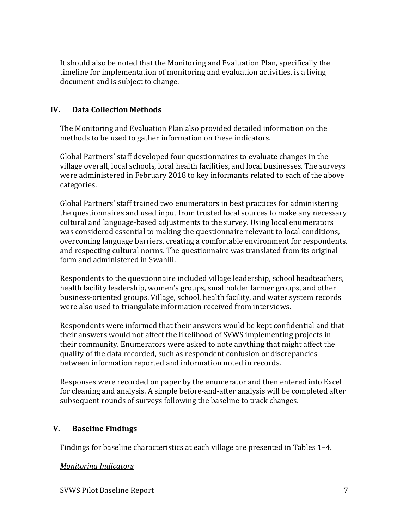It should also be noted that the Monitoring and Evaluation Plan, specifically the timeline for implementation of monitoring and evaluation activities, is a living document and is subject to change.

### **IV. Data Collection Methods**

The Monitoring and Evaluation Plan also provided detailed information on the methods to be used to gather information on these indicators.

Global Partners' staff developed four questionnaires to evaluate changes in the village overall, local schools, local health facilities, and local businesses. The surveys were administered in February 2018 to key informants related to each of the above categories.

Global Partners' staff trained two enumerators in best practices for administering the questionnaires and used input from trusted local sources to make any necessary cultural and language-based adjustments to the survey. Using local enumerators was considered essential to making the questionnaire relevant to local conditions, overcoming language barriers, creating a comfortable environment for respondents, and respecting cultural norms. The questionnaire was translated from its original form and administered in Swahili.

Respondents to the questionnaire included village leadership, school headteachers, health facility leadership, women's groups, smallholder farmer groups, and other business-oriented groups. Village, school, health facility, and water system records were also used to triangulate information received from interviews.

Respondents were informed that their answers would be kept confidential and that their answers would not affect the likelihood of SVWS implementing projects in their community. Enumerators were asked to note anything that might affect the quality of the data recorded, such as respondent confusion or discrepancies between information reported and information noted in records.

Responses were recorded on paper by the enumerator and then entered into Excel for cleaning and analysis. A simple before-and-after analysis will be completed after subsequent rounds of surveys following the baseline to track changes.

#### **V. Baseline Findings**

Findings for baseline characteristics at each village are presented in Tables 1–4.

#### *Monitoring Indicators*

SVWS Pilot Baseline Report 7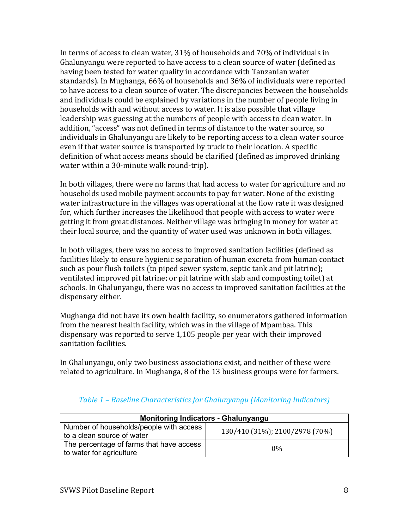In terms of access to clean water, 31% of households and 70% of individuals in Ghalunyangu were reported to have access to a clean source of water (defined as having been tested for water quality in accordance with Tanzanian water standards). In Mughanga, 66% of households and 36% of individuals were reported to have access to a clean source of water. The discrepancies between the households and individuals could be explained by variations in the number of people living in households with and without access to water. It is also possible that village leadership was guessing at the numbers of people with access to clean water. In addition, "access" was not defined in terms of distance to the water source, so individuals in Ghalunyangu are likely to be reporting access to a clean water source even if that water source is transported by truck to their location. A specific definition of what access means should be clarified (defined as improved drinking water within a 30-minute walk round-trip).

In both villages, there were no farms that had access to water for agriculture and no households used mobile payment accounts to pay for water. None of the existing water infrastructure in the villages was operational at the flow rate it was designed for, which further increases the likelihood that people with access to water were getting it from great distances. Neither village was bringing in money for water at their local source, and the quantity of water used was unknown in both villages.

In both villages, there was no access to improved sanitation facilities (defined as facilities likely to ensure hygienic separation of human excreta from human contact such as pour flush toilets (to piped sewer system, septic tank and pit latrine); ventilated improved pit latrine; or pit latrine with slab and composting toilet) at schools. In Ghalunyangu, there was no access to improved sanitation facilities at the dispensary either.

Mughanga did not have its own health facility, so enumerators gathered information from the nearest health facility, which was in the village of Mpambaa. This dispensary was reported to serve 1,105 people per year with their improved sanitation facilities.

In Ghalunyangu, only two business associations exist, and neither of these were related to agriculture. In Mughanga, 8 of the 13 business groups were for farmers.

| <b>Monitoring Indicators - Ghalunyangu</b>                            |                                |  |
|-----------------------------------------------------------------------|--------------------------------|--|
| Number of households/people with access<br>to a clean source of water | 130/410 (31%); 2100/2978 (70%) |  |
| The percentage of farms that have access<br>to water for agriculture  | $0\%$                          |  |

# *Table 1 – Baseline Characteristics for Ghalunyangu (Monitoring Indicators)*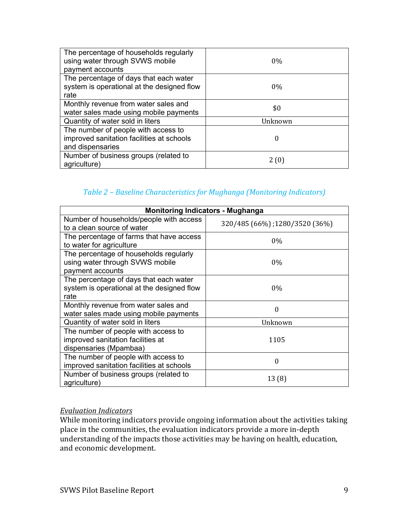| The percentage of households regularly<br>using water through SVWS mobile<br>payment accounts        | $0\%$   |
|------------------------------------------------------------------------------------------------------|---------|
| The percentage of days that each water<br>system is operational at the designed flow<br>rate         | $0\%$   |
| Monthly revenue from water sales and<br>water sales made using mobile payments                       | \$0     |
| Quantity of water sold in liters                                                                     | Unknown |
| The number of people with access to<br>improved sanitation facilities at schools<br>and dispensaries | 0       |
| Number of business groups (related to<br>agriculture)                                                | 2(0)    |

# *Table 2 – Baseline Characteristics for Mughanga (Monitoring Indicators)*

| <b>Monitoring Indicators - Mughanga</b>                                                            |                               |  |
|----------------------------------------------------------------------------------------------------|-------------------------------|--|
| Number of households/people with access<br>to a clean source of water                              | 320/485 (66%);1280/3520 (36%) |  |
| The percentage of farms that have access<br>to water for agriculture                               | $0\%$                         |  |
| The percentage of households regularly<br>using water through SVWS mobile<br>payment accounts      | $0\%$                         |  |
| The percentage of days that each water<br>system is operational at the designed flow<br>rate       | $0\%$                         |  |
| Monthly revenue from water sales and<br>water sales made using mobile payments                     | 0                             |  |
| Quantity of water sold in liters                                                                   | Unknown                       |  |
| The number of people with access to<br>improved sanitation facilities at<br>dispensaries (Mpambaa) | 1105                          |  |
| The number of people with access to<br>improved sanitation facilities at schools                   | $\boldsymbol{0}$              |  |
| Number of business groups (related to<br>agriculture)                                              | 13(8)                         |  |

#### *Evaluation Indicators*

While monitoring indicators provide ongoing information about the activities taking place in the communities, the evaluation indicators provide a more in-depth understanding of the impacts those activities may be having on health, education, and economic development.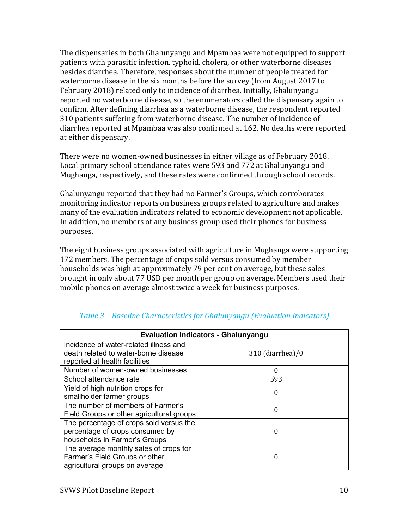The dispensaries in both Ghalunyangu and Mpambaa were not equipped to support patients with parasitic infection, typhoid, cholera, or other waterborne diseases besides diarrhea. Therefore, responses about the number of people treated for waterborne disease in the six months before the survey (from August 2017 to February 2018) related only to incidence of diarrhea. Initially, Ghalunyangu reported no waterborne disease, so the enumerators called the dispensary again to confirm. After defining diarrhea as a waterborne disease, the respondent reported 310 patients suffering from waterborne disease. The number of incidence of diarrhea reported at Mpambaa was also confirmed at 162. No deaths were reported at either dispensary.

There were no women-owned businesses in either village as of February 2018. Local primary school attendance rates were 593 and 772 at Ghalunyangu and Mughanga, respectively, and these rates were confirmed through school records.

Ghalunyangu reported that they had no Farmer's Groups, which corroborates monitoring indicator reports on business groups related to agriculture and makes many of the evaluation indicators related to economic development not applicable. In addition, no members of any business group used their phones for business purposes.

The eight business groups associated with agriculture in Mughanga were supporting 172 members. The percentage of crops sold versus consumed by member households was high at approximately 79 per cent on average, but these sales brought in only about 77 USD per month per group on average. Members used their mobile phones on average almost twice a week for business purposes.

| <b>Evaluation Indicators - Ghalunyangu</b> |                  |
|--------------------------------------------|------------------|
| Incidence of water-related illness and     |                  |
| death related to water-borne disease       | 310 (diarrhea)/0 |
| reported at health facilities              |                  |
| Number of women-owned businesses           | 0                |
| School attendance rate                     | 593              |
| Yield of high nutrition crops for          | 0                |
| smallholder farmer groups                  |                  |
| The number of members of Farmer's          | 0                |
| Field Groups or other agricultural groups  |                  |
| The percentage of crops sold versus the    |                  |
| percentage of crops consumed by            | 0                |
| households in Farmer's Groups              |                  |
| The average monthly sales of crops for     |                  |
| Farmer's Field Groups or other             | 0                |
| agricultural groups on average             |                  |

# *Table 3 – Baseline Characteristics for Ghalunyangu (Evaluation Indicators)*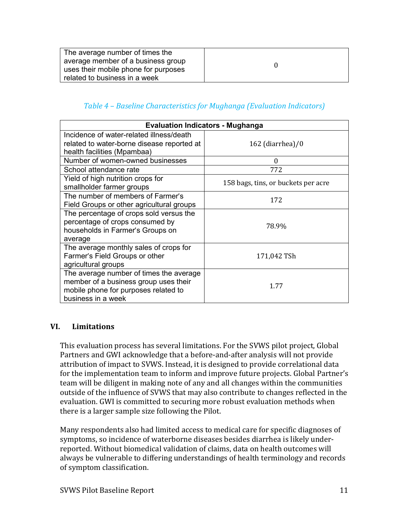| The average number of times the      |  |
|--------------------------------------|--|
| average member of a business group   |  |
| uses their mobile phone for purposes |  |
| related to business in a week        |  |

## *Table 4 – Baseline Characteristics for Mughanga (Evaluation Indicators)*

| <b>Evaluation Indicators - Mughanga</b>                                                                                                        |                                     |  |
|------------------------------------------------------------------------------------------------------------------------------------------------|-------------------------------------|--|
| Incidence of water-related illness/death                                                                                                       |                                     |  |
| related to water-borne disease reported at                                                                                                     | $162$ (diarrhea)/0                  |  |
| health facilities (Mpambaa)                                                                                                                    |                                     |  |
| Number of women-owned businesses                                                                                                               | $\Omega$                            |  |
| School attendance rate                                                                                                                         | 772                                 |  |
| Yield of high nutrition crops for<br>smallholder farmer groups                                                                                 | 158 bags, tins, or buckets per acre |  |
| The number of members of Farmer's<br>Field Groups or other agricultural groups                                                                 | 172                                 |  |
| The percentage of crops sold versus the<br>percentage of crops consumed by<br>households in Farmer's Groups on<br>average                      | 78.9%                               |  |
| The average monthly sales of crops for<br>Farmer's Field Groups or other<br>agricultural groups                                                | 171,042 TSh                         |  |
| The average number of times the average<br>member of a business group uses their<br>mobile phone for purposes related to<br>business in a week | 1.77                                |  |

## **VI. Limitations**

This evaluation process has several limitations. For the SVWS pilot project, Global Partners and GWI acknowledge that a before-and-after analysis will not provide attribution of impact to SVWS. Instead, it is designed to provide correlational data for the implementation team to inform and improve future projects. Global Partner's team will be diligent in making note of any and all changes within the communities outside of the influence of SVWS that may also contribute to changes reflected in the evaluation. GWI is committed to securing more robust evaluation methods when there is a larger sample size following the Pilot.

Many respondents also had limited access to medical care for specific diagnoses of symptoms, so incidence of waterborne diseases besides diarrhea is likely underreported. Without biomedical validation of claims, data on health outcomes will always be vulnerable to differing understandings of health terminology and records of symptom classification.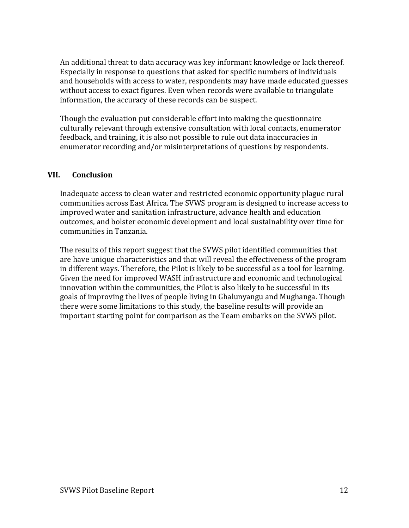An additional threat to data accuracy was key informant knowledge or lack thereof. Especially in response to questions that asked for specific numbers of individuals and households with access to water, respondents may have made educated guesses without access to exact figures. Even when records were available to triangulate information, the accuracy of these records can be suspect.

Though the evaluation put considerable effort into making the questionnaire culturally relevant through extensive consultation with local contacts, enumerator feedback, and training, it is also not possible to rule out data inaccuracies in enumerator recording and/or misinterpretations of questions by respondents.

#### **VII. Conclusion**

Inadequate access to clean water and restricted economic opportunity plague rural communities across East Africa. The SVWS program is designed to increase access to improved water and sanitation infrastructure, advance health and education outcomes, and bolster economic development and local sustainability over time for communities in Tanzania.

The results of this report suggest that the SVWS pilot identified communities that are have unique characteristics and that will reveal the effectiveness of the program in different ways. Therefore, the Pilot is likely to be successful as a tool for learning. Given the need for improved WASH infrastructure and economic and technological innovation within the communities, the Pilot is also likely to be successful in its goals of improving the lives of people living in Ghalunyangu and Mughanga. Though there were some limitations to this study, the baseline results will provide an important starting point for comparison as the Team embarks on the SVWS pilot.